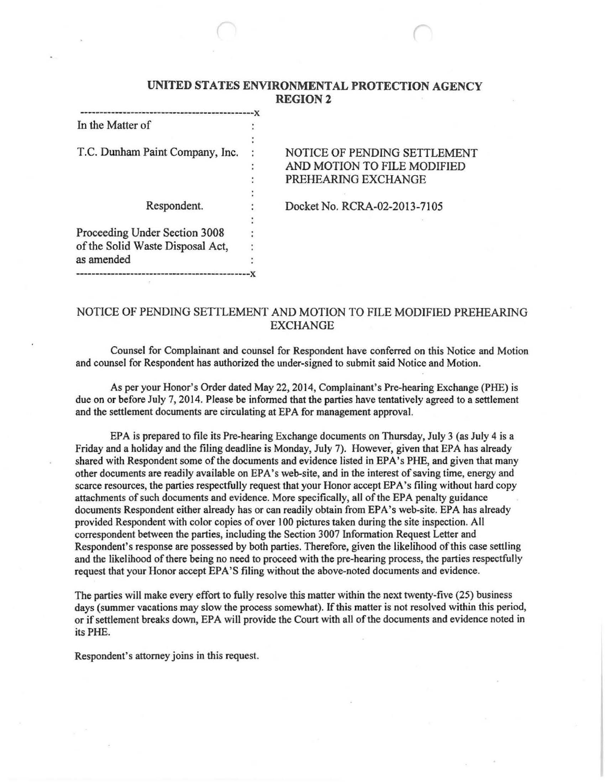### UNITED STATES ENVIRONMENTAL PROTECTION AGENCY REGION2

| In the Matter of                 |                              |  |
|----------------------------------|------------------------------|--|
|                                  |                              |  |
| T.C. Dunham Paint Company, Inc.  | NOTICE OF PENDING SETTLEMENT |  |
|                                  | AND MOTION TO FILE MODIFIED  |  |
|                                  | PREHEARING EXCHANGE          |  |
|                                  |                              |  |
| Respondent.                      | Docket No. RCRA-02-2013-7105 |  |
|                                  |                              |  |
| Proceeding Under Section 3008    |                              |  |
| of the Solid Waste Disposal Act, |                              |  |
| as amended                       |                              |  |
|                                  |                              |  |

# NOTICE OF PENDING SETTLEMENT AND MOTION TO FILE MODIFIED PREHEARING EXCHANGE

Counsel for Complainant and counsel for Respondent have conferred on this Notice and Motion and counsel for Respondent has authorized the under-signed to submit said Notice and Motion.

As per your Honor's Order dated May 22, 2014, Complainant's Pre-hearing Exchange (PHE) is due on or before July 7, 2014. Please be informed that the parties have tentatively agreed to a settlement and the settlement documents are circulating at EPA for management approval.

EPA is prepared to file its Pre-hearing Exchange documents on Thursday, July 3 (as July 4 is a Friday and a holiday and the filing deadline is Monday, July 7). However, given that EPA has already shared with Respondent some of the documents and evidence listed in EPA's PHE, and given that many other documents are readily available on EPA's web-site, and in the interest of saving time, energy and scarce resources, the parties respectfully request that your Honor accept EPA's filing without hard copy attachments of such documents and evidence. More specifically, all of the EPA penalty guidance documents Respondent either already has or can readily obtain from EPA's web-site. EPA has already provided Respondent with color copies of over 1 00 pictures taken during the site inspection. All correspondent between the parties, including the Section 3007 Information Request Letter and Respondent's response are possessed by both parties. Therefore, given the likelihood of this case settling and the likelihood of there being no need to proceed with the pre-hearing process, the parties respectfully request that your Honor accept EPA'S filing without the above-noted documents and evidence.

The parties will make every effort to fully resolve this matter within the next twenty-five (25) business days (summer vacations may slow the process somewhat). If this matter is not resolved within this period, or if settlement breaks down, EPA will provide the Court with all of the documents and evidence noted in its PHE.

Respondent's attorney joins in this request.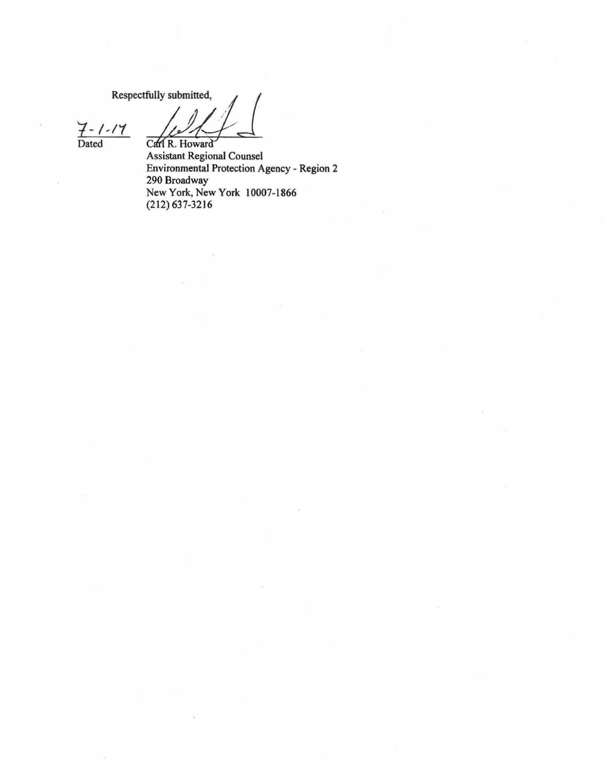Respectfully submitted,

Carl R. Howard

 $7 - 1 - 17$ <br>Dated

Assistant Regional Counsel<br>Environmental Protection Agency - Region 2 290 Broadway New York, New York 10007-1866  $(212) 637 - 3216$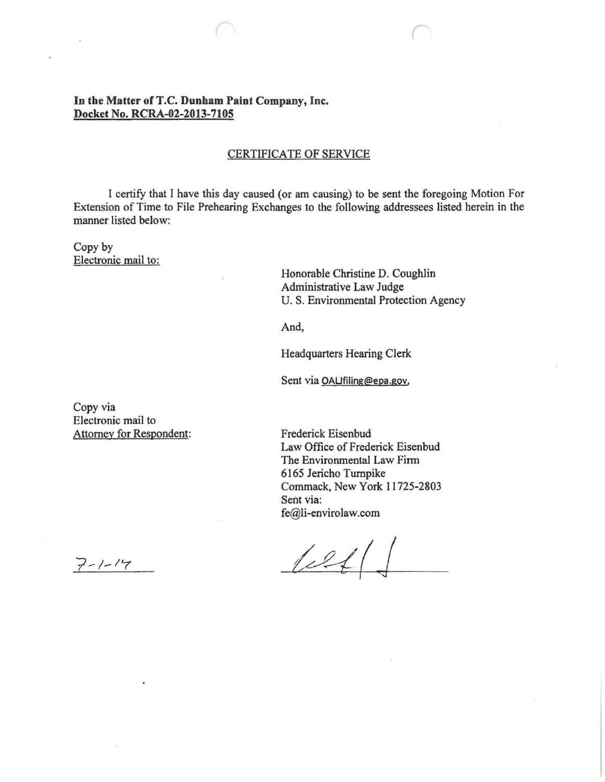## In the Matter of T.C. Dunham Paint Company, Inc. **Docket** No. **RCRA-02-2013-7105**

#### CERTIFICATE OF SERVICE

I certify that I have this day caused {or am causing) to be sent the foregoing Motion For Extension of Time to File Prehearing Exchanges to the following addressees listed herein in the manner listed below:

### Copy by Electronic mail to:

Honorable Christine D. Coughlin Administrative Law Judge U. S. Environmental Protection Agency

And,

Headquarters Hearing Clerk

Sent via OAUfiling@epa.gov,

Copy via Electronic mail to Attorney for Respondent:

Frederick Eisenbud Law Office of Frederick Eisenbud The Environmental Law Firm 6165 Jericho Turnpike Commack, New York 11725-2803 Sent via: fe@li-envirolaw.com

 $|2|$ 

 $7 - 1 - 14$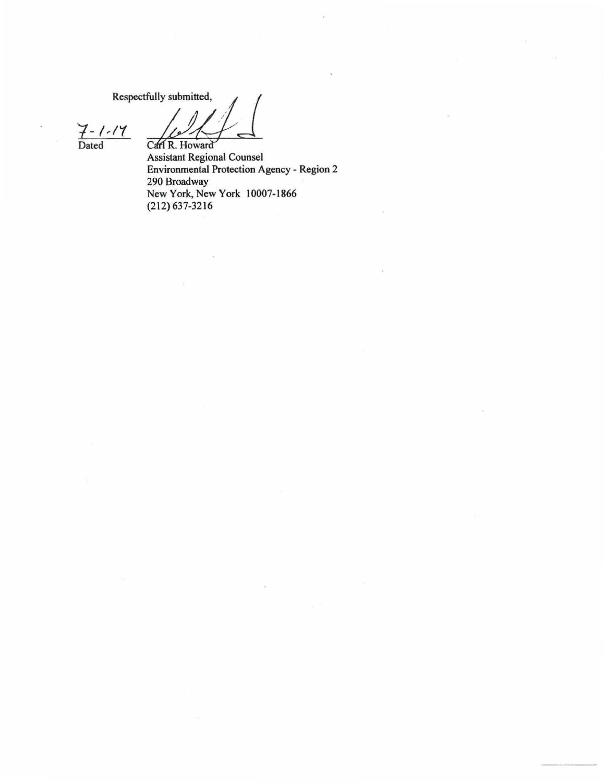Respectfully submitted,

*1-* I,/( Dated Ca

Assistant Regional Counsel Environmental Protection Agency - Region 2 290 Broadway New York, New York 10007-1866 (212) 637-3216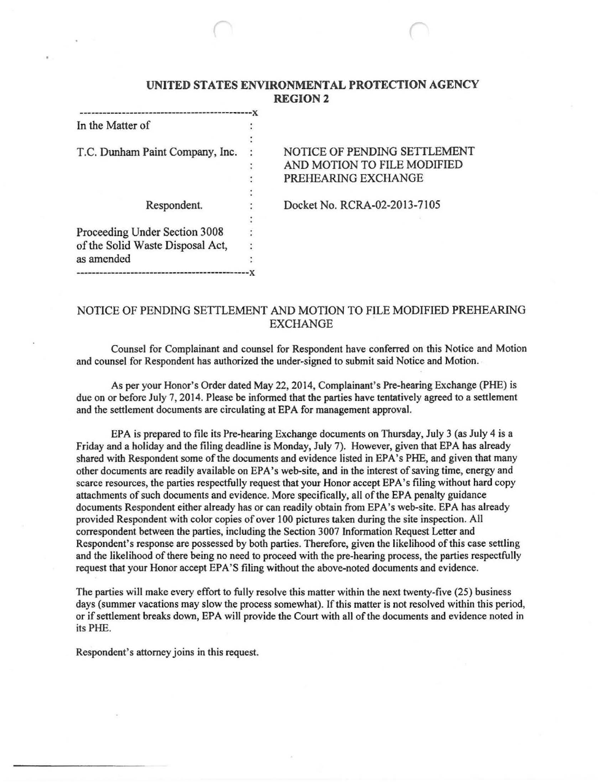# **UNITED STATES ENVIRONMENTAL PROTECTION AGENCY REGION2**

| In the Matter of                 |                              |
|----------------------------------|------------------------------|
|                                  |                              |
| T.C. Dunham Paint Company, Inc.  | NOTICE OF PENDING SETTLEMENT |
|                                  | AND MOTION TO FILE MODIFIED  |
|                                  | PREHEARING EXCHANGE          |
|                                  |                              |
| Respondent.                      | Docket No. RCRA-02-2013-7105 |
|                                  |                              |
| Proceeding Under Section 3008    |                              |
| of the Solid Waste Disposal Act, |                              |
| as amended                       |                              |
|                                  |                              |

## NOTICE OF PENDING SETTLEMENT AND MOTION TO FILE MODIFIED PREHEARING EXCHANGE

Counsel for Complainant and counsel for Respondent have conferred on this Notice and Motion and counsel for Respondent has authorized the under-signed to submit said Notice and Motion. ·

As per your Honor's Order dated May 22, 2014, Complainant's Pre-hearing Exchange (PHE) is due on or before July 7, 2014. Please be informed that the parties have tentatively agreed to a settlement and the settlement documents are circulating at EPA for management approval.

EPA is prepared to file its Pre-hearing Exchange documents on Thursday, July 3 (as July 4 is a Friday and a holiday and the filing deadline is Monday, July 7). However, given that EPA has already shared with Respondent some of the documents and evidence listed in EPA's PHE, and given that many other documents are readily available on EPA's web-site, and in the interest of saving time, energy and scarce resources, the parties respectfully request that your Honor accept EPA's filing without hard copy attachments of such documents and evidence. More specifically, all of the EPA penalty guidance documents Respondent either already has or can readily obtain from EPA's web-site. EPA has already provided Respondent with color copies of over I 00 pictures taken during the site inspection. All correspondent between the parties, including the Section 3007 Information Request Letter and Respondent's response are possessed by both parties. Therefore, given the likelihood of this case settling and the likelihood of there being no need to proceed with the pre-hearing process, the parties respectfully request that your Honor accept EPA'S filing without the above-noted documents and evidence.

The parties will make every effort to fully resolve this matter within the next twenty-five (25) business days (summer vacations may slow the process somewhat). If this matter is not resolved within this period, or if settlement breaks down, EPA will provide the Court with all of the documents and evidence noted in its PHE.

Respondent's attorney joins in this request.